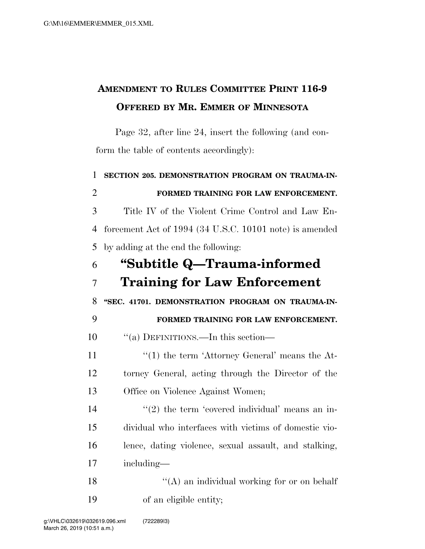## **AMENDMENT TO RULES COMMITTEE PRINT 116-9 OFFERED BY MR. EMMER OF MINNESOTA**

Page 32, after line 24, insert the following (and conform the table of contents accordingly):

 **SECTION 205. DEMONSTRATION PROGRAM ON TRAUMA-IN- FORMED TRAINING FOR LAW ENFORCEMENT.**  Title IV of the Violent Crime Control and Law En- forcement Act of 1994 (34 U.S.C. 10101 note) is amended by adding at the end the following: **''Subtitle Q—Trauma-informed Training for Law Enforcement ''SEC. 41701. DEMONSTRATION PROGRAM ON TRAUMA-IN- FORMED TRAINING FOR LAW ENFORCEMENT.**   $\frac{10}{10}$   $\frac{10}{10}$  DEFINITIONS.—In this section—  $\frac{1}{2}$  (1) the term 'Attorney General' means the At- torney General, acting through the Director of the Office on Violence Against Women; ''(2) the term 'covered individual' means an in- dividual who interfaces with victims of domestic vio- lence, dating violence, sexual assault, and stalking, including—  $"({\rm A})$  an individual working for or on behalf of an eligible entity;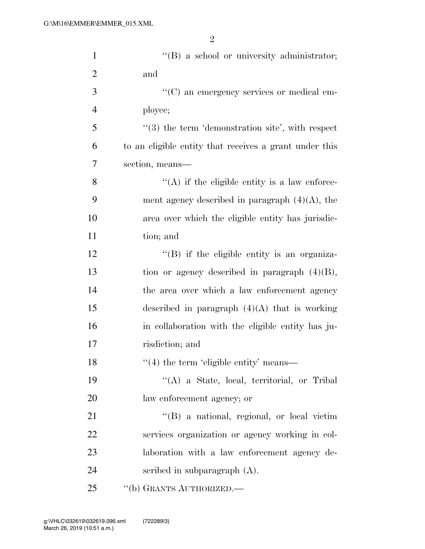| $\mathbf{1}$   | "(B) a school or university administrator;             |
|----------------|--------------------------------------------------------|
| $\overline{2}$ | and                                                    |
| 3              | "(C) an emergency services or medical em-              |
| $\overline{4}$ | ployee;                                                |
| 5              | $(3)$ the term 'demonstration site', with respect      |
| 6              | to an eligible entity that receives a grant under this |
| $\overline{7}$ | section, means—                                        |
| 8              | $\lq\lq$ if the eligible entity is a law enforce-      |
| 9              | ment agency described in paragraph $(4)(A)$ , the      |
| 10             | area over which the eligible entity has jurisdic-      |
| 11             | tion; and                                              |
| 12             | $\lq\lq (B)$ if the eligible entity is an organiza-    |
| 13             | tion or agency described in paragraph $(4)(B)$ ,       |
| 14             | the area over which a law enforcement agency           |
| 15             | described in paragraph $(4)(A)$ that is working        |
| 16             | in collaboration with the eligible entity has ju-      |
| 17             | risdiction; and                                        |
| 18             | $"$ (4) the term 'eligible entity' means—              |
| 19             | "(A) a State, local, territorial, or Tribal            |
| 20             | law enforcement agency; or                             |
| 21             | $\lq\lq$ (B) a national, regional, or local victim     |
| 22             | services organization or agency working in col-        |
| 23             | laboration with a law enforcement agency de-           |
| 24             | scribed in subparagraph $(A)$ .                        |
| 25             | "(b) GRANTS AUTHORIZED.—                               |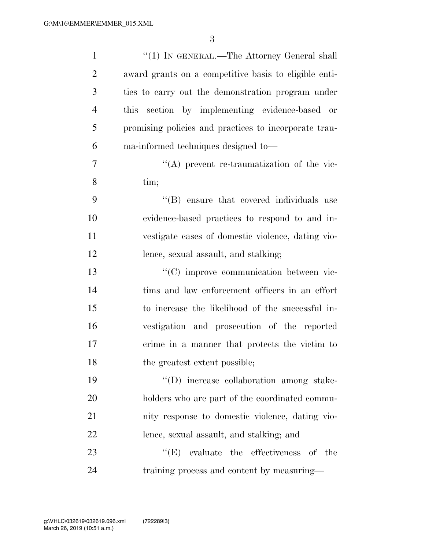| $\mathbf{1}$   | "(1) IN GENERAL.—The Attorney General shall           |
|----------------|-------------------------------------------------------|
| $\overline{2}$ | award grants on a competitive basis to eligible enti- |
| 3              | ties to carry out the demonstration program under     |
| $\overline{4}$ | this section by implementing evidence-based or        |
| 5              | promising policies and practices to incorporate trau- |
| 6              | ma-informed techniques designed to-                   |
| 7              | $\lq\lq$ prevent re-traumatization of the vic-        |
| 8              | tim;                                                  |
| 9              | "(B) ensure that covered individuals use              |
| 10             | evidence-based practices to respond to and in-        |
| 11             | vestigate cases of domestic violence, dating vio-     |
| 12             | lence, sexual assault, and stalking;                  |
| 13             | "(C) improve communication between vic-               |
| 14             | tims and law enforcement officers in an effort        |
| 15             | to increase the likelihood of the successful in-      |
| 16             | vestigation and prosecution of the reported           |
| 17             | crime in a manner that protects the victim to         |
| 18             | the greatest extent possible;                         |
| 19             | "(D) increase collaboration among stake-              |
| 20             | holders who are part of the coordinated commu-        |
| 21             | nity response to domestic violence, dating vio-       |
| 22             | lence, sexual assault, and stalking; and              |
| 23             | $\lq\lq(E)$ evaluate the effectiveness of the         |
| 24             | training process and content by measuring—            |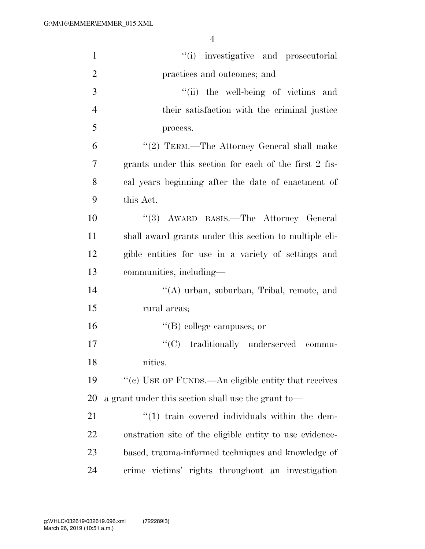| $\mathbf{1}$   | "(i) investigative and prosecutorial                    |
|----------------|---------------------------------------------------------|
| $\overline{2}$ | practices and outcomes; and                             |
| 3              | "(ii) the well-being of victims and                     |
| $\overline{4}$ | their satisfaction with the criminal justice            |
| 5              | process.                                                |
| 6              | "(2) TERM.—The Attorney General shall make              |
| 7              | grants under this section for each of the first 2 fis-  |
| 8              | cal years beginning after the date of enactment of      |
| 9              | this Act.                                               |
| 10             | "(3) AWARD BASIS.—The Attorney General                  |
| 11             | shall award grants under this section to multiple eli-  |
| 12             | gible entities for use in a variety of settings and     |
| 13             | communities, including—                                 |
| 14             | "(A) urban, suburban, Tribal, remote, and               |
| 15             | rural areas;                                            |
| 16             | $\lq\lq$ (B) college campuses; or                       |
| 17             | "(C) traditionally underserved commu-                   |
| 18             | nities.                                                 |
| 19             | "(c) USE OF FUNDS.—An eligible entity that receives     |
| 20             | a grant under this section shall use the grant to-      |
| 21             | $\lq(1)$ train covered individuals within the dem-      |
| 22             | onstration site of the eligible entity to use evidence- |
| 23             | based, trauma-informed techniques and knowledge of      |
| 24             | crime victims' rights throughout an investigation       |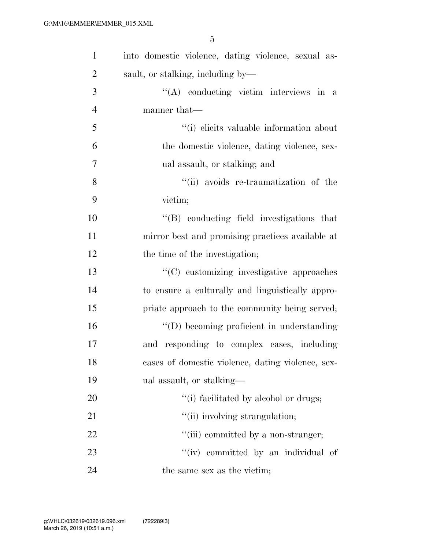| $\mathbf{1}$   | into domestic violence, dating violence, sexual as- |
|----------------|-----------------------------------------------------|
| $\overline{2}$ | sault, or stalking, including by—                   |
| 3              | "(A) conducting victim interviews in a              |
| $\overline{4}$ | manner that—                                        |
| 5              | "(i) elicits valuable information about             |
| 6              | the domestic violence, dating violence, sex-        |
| $\tau$         | ual assault, or stalking; and                       |
| 8              | "(ii) avoids re-traumatization of the               |
| 9              | victim;                                             |
| 10             | $\lq\lq (B)$ conducting field investigations that   |
| 11             | mirror best and promising practices available at    |
| 12             | the time of the investigation;                      |
| 13             | "(C) customizing investigative approaches           |
| 14             | to ensure a culturally and linguistically appro-    |
| 15             | priate approach to the community being served;      |
| 16             | "(D) becoming proficient in understanding           |
| 17             | and responding to complex cases, including          |
| 18             | cases of domestic violence, dating violence, sex-   |
| 19             | ual assault, or stalking—                           |
| 20             | "(i) facilitated by alcohol or drugs;               |
| 21             | "(ii) involving strangulation;                      |
| 22             | "(iii) committed by a non-stranger;                 |
| 23             | "(iv) committed by an individual of                 |
| 24             | the same sex as the victim;                         |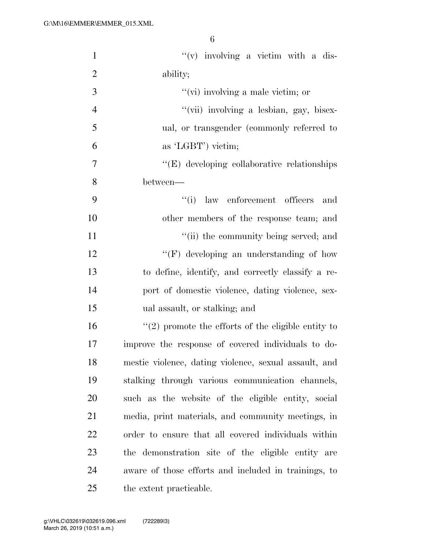| $\mathbf{1}$   | $f'(v)$ involving a victim with a dis-                 |
|----------------|--------------------------------------------------------|
| $\overline{2}$ | ability;                                               |
| 3              | " $(vi)$ involving a male victim; or                   |
| $\overline{4}$ | "(vii) involving a lesbian, gay, bisex-                |
| 5              | ual, or transgender (commonly referred to              |
| 6              | as 'LGBT') victim;                                     |
| $\overline{7}$ | $\lq\lq(E)$ developing collaborative relationships     |
| 8              | between—                                               |
| 9              | ``(i)<br>law enforcement officers<br>and               |
| 10             | other members of the response team; and                |
| 11             | "(ii) the community being served; and                  |
| 12             | "(F) developing an understanding of how                |
| 13             | to define, identify, and correctly classify a re-      |
| 14             | port of domestic violence, dating violence, sex-       |
| 15             | ual assault, or stalking; and                          |
| 16             | $\lq(2)$ promote the efforts of the eligible entity to |
| 17             | improve the response of covered individuals to do-     |
| 18             | mestic violence, dating violence, sexual assault, and  |
| 19             | stalking through various communication channels,       |
| 20             | such as the website of the eligible entity, social     |
| 21             | media, print materials, and community meetings, in     |
| 22             | order to ensure that all covered individuals within    |
| 23             | the demonstration site of the eligible entity are      |
| 24             | aware of those efforts and included in trainings, to   |
| 25             | the extent practicable.                                |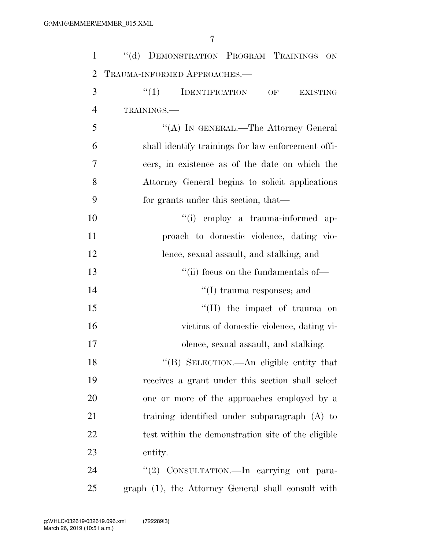| $\mathbf{1}$   | "(d) DEMONSTRATION PROGRAM TRAININGS ON                     |
|----------------|-------------------------------------------------------------|
| $\overline{2}$ | TRAUMA-INFORMED APPROACHES.-                                |
| 3              | $``(1)$ IDENTIFICATION<br>OF<br><b>EXISTING</b>             |
| $\overline{4}$ | TRAININGS.                                                  |
| 5              | "(A) IN GENERAL.—The Attorney General                       |
| 6              | shall identify trainings for law enforcement offi-          |
| $\overline{7}$ | cers, in existence as of the date on which the              |
| 8              | Attorney General begins to solicit applications             |
| 9              | for grants under this section, that—                        |
| 10             | "(i) employ a trauma-informed ap-                           |
| 11             | proach to domestic violence, dating vio-                    |
| 12             | lence, sexual assault, and stalking; and                    |
| 13             | "(ii) focus on the fundamentals of $\overline{\phantom{a}}$ |
| 14             | $\lq\lq$ trauma responses; and                              |
| 15             | "(II) the impact of trauma on                               |
| 16             | victims of domestic violence, dating vi-                    |
| 17             | olence, sexual assault, and stalking.                       |
| 18             | "(B) SELECTION.—An eligible entity that                     |
| 19             | receives a grant under this section shall select            |
| 20             | one or more of the approaches employed by a                 |
| 21             | training identified under subparagraph (A) to               |
| 22             | test within the demonstration site of the eligible          |
| 23             | entity.                                                     |
| 24             | "(2) CONSULTATION.-In carrying out para-                    |
| 25             | graph (1), the Attorney General shall consult with          |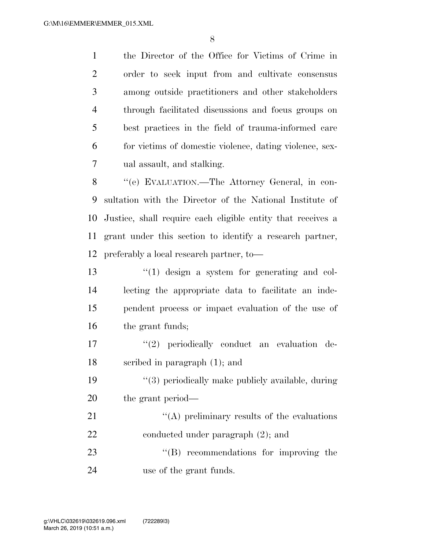the Director of the Office for Victims of Crime in order to seek input from and cultivate consensus among outside practitioners and other stakeholders through facilitated discussions and focus groups on best practices in the field of trauma-informed care for victims of domestic violence, dating violence, sex-ual assault, and stalking.

 ''(e) EVALUATION.—The Attorney General, in con- sultation with the Director of the National Institute of Justice, shall require each eligible entity that receives a grant under this section to identify a research partner, preferably a local research partner, to—

13 ''(1) design a system for generating and col- lecting the appropriate data to facilitate an inde- pendent process or impact evaluation of the use of 16 the grant funds;

17  $\frac{17}{2}$  periodically conduct an evaluation de-scribed in paragraph (1); and

19 ''(3) periodically make publicly available, during the grant period—

21 ''(A) preliminary results of the evaluations 22 conducted under paragraph  $(2)$ ; and 23 "'(B) recommendations for improving the

use of the grant funds.